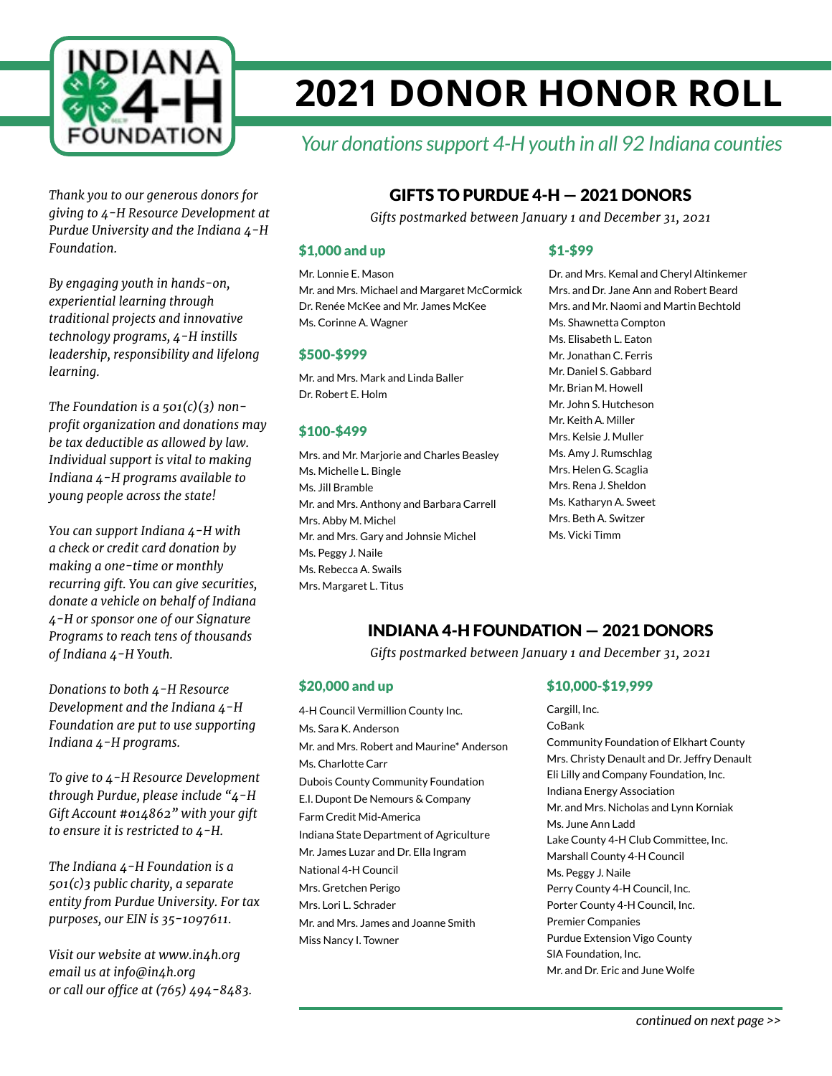

# **2021 DONOR HONOR ROLL**

# *Your donations support 4-H youth in all 92 Indiana counties*

*Thank you to our generous donors for giving to 4-H Resource Development at Purdue University and the Indiana 4-H Foundation.*

*By engaging youth in hands-on, experiential learning through traditional projects and innovative technology programs, 4-H instills leadership, responsibility and lifelong learning.*

*The Foundation is a 501(c)(3) nonprofit organization and donations may be tax deductible as allowed by law. Individual support is vital to making Indiana 4-H programs available to young people across the state!*

*You can support Indiana 4-H with a check or credit card donation by making a one-time or monthly recurring gift. You can give securities, donate a vehicle on behalf of Indiana 4-H or sponsor one of our Signature Programs to reach tens of thousands of Indiana 4-H Youth.*

*Donations to both 4-H Resource Development and the Indiana 4-H Foundation are put to use supporting Indiana 4-H programs.*

*To give to 4-H Resource Development through Purdue, please include "4-H Gift Account #014862" with your gift to ensure it is restricted to 4-H.*

*The Indiana 4-H Foundation is a 501(c)3 public charity, a separate entity from Purdue University. For tax purposes, our EIN is 35-1097611.*

*Visit our website at www.in4h.org email us at info@in4h.org or call our office at (765) 494-8483.*

# GIFTS TO PURDUE 4-H — 2021 DONORS

*Gifts postmarked between January 1 and December 31, 2021*

#### \$1,000 and up

Mr. Lonnie E. Mason Mr. and Mrs. Michael and Margaret McCormick Dr. Renée McKee and Mr. James McKee Ms. Corinne A. Wagner

#### \$500-\$999

Mr. and Mrs. Mark and Linda Baller Dr. Robert E. Holm

#### \$100-\$499

Mrs. and Mr. Marjorie and Charles Beasley Ms. Michelle L. Bingle Ms. Jill Bramble Mr. and Mrs. Anthony and Barbara Carrell Mrs. Abby M. Michel Mr. and Mrs. Gary and Johnsie Michel Ms. Peggy J. Naile Ms. Rebecca A. Swails Mrs. Margaret L. Titus

#### \$1-\$99

Dr. and Mrs. Kemal and Cheryl Altinkemer Mrs. and Dr. Jane Ann and Robert Beard Mrs. and Mr. Naomi and Martin Bechtold Ms. Shawnetta Compton Ms. Elisabeth L. Eaton Mr. Jonathan C. Ferris Mr. Daniel S. Gabbard Mr. Brian M. Howell Mr. John S. Hutcheson Mr. Keith A. Miller Mrs. Kelsie J. Muller Ms. Amy J. Rumschlag Mrs. Helen G. Scaglia Mrs. Rena J. Sheldon Ms. Katharyn A. Sweet Mrs. Beth A. Switzer Ms. Vicki Timm

## INDIANA 4-H FOUNDATION — 2021 DONORS

*Gifts postmarked between January 1 and December 31, 2021*

#### \$20,000 and up

4-H Council Vermillion County Inc. Ms. Sara K. Anderson Mr. and Mrs. Robert and Maurine\* Anderson Ms. Charlotte Carr Dubois County Community Foundation E.I. Dupont De Nemours & Company Farm Credit Mid-America Indiana State Department of Agriculture Mr. James Luzar and Dr. Ella Ingram National 4-H Council Mrs. Gretchen Perigo Mrs. Lori L. Schrader Mr. and Mrs. James and Joanne Smith Miss Nancy I. Towner

#### \$10,000-\$19,999

Cargill, Inc. CoBank Community Foundation of Elkhart County Mrs. Christy Denault and Dr. Jeffry Denault Eli Lilly and Company Foundation, Inc. Indiana Energy Association Mr. and Mrs. Nicholas and Lynn Korniak Ms. June Ann Ladd Lake County 4-H Club Committee, Inc. Marshall County 4-H Council Ms. Peggy J. Naile Perry County 4-H Council, Inc. Porter County 4-H Council, Inc. Premier Companies Purdue Extension Vigo County SIA Foundation, Inc. Mr. and Dr. Eric and June Wolfe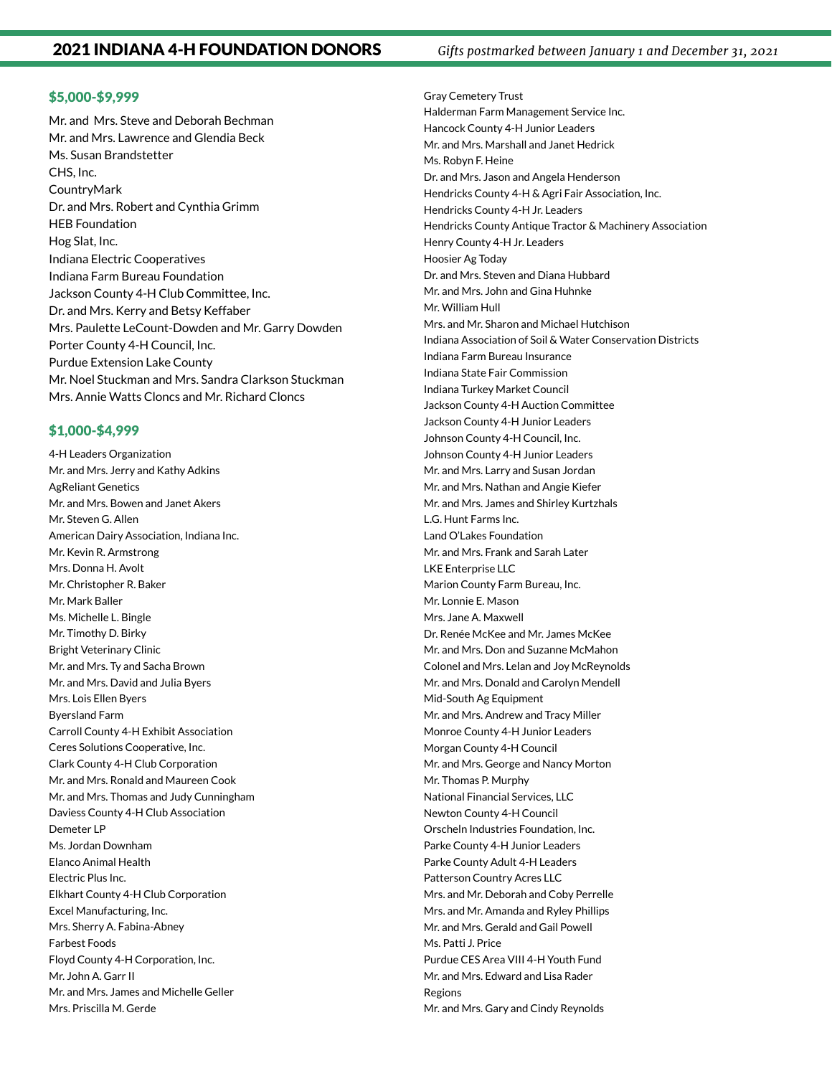#### \$5,000-\$9,999

Mr. and Mrs. Steve and Deborah Bechman Mr. and Mrs. Lawrence and Glendia Beck Ms. Susan Brandstetter CHS, Inc. **CountryMark** Dr. and Mrs. Robert and Cynthia Grimm HEB Foundation Hog Slat, Inc. Indiana Electric Cooperatives Indiana Farm Bureau Foundation Jackson County 4-H Club Committee, Inc. Dr. and Mrs. Kerry and Betsy Keffaber Mrs. Paulette LeCount-Dowden and Mr. Garry Dowden Porter County 4-H Council, Inc. Purdue Extension Lake County Mr. Noel Stuckman and Mrs. Sandra Clarkson Stuckman Mrs. Annie Watts Cloncs and Mr. Richard Cloncs

#### \$1,000-\$4,999

4-H Leaders Organization Mr. and Mrs. Jerry and Kathy Adkins AgReliant Genetics Mr. and Mrs. Bowen and Janet Akers Mr. Steven G. Allen American Dairy Association, Indiana Inc. Mr. Kevin R. Armstrong Mrs. Donna H. Avolt Mr. Christopher R. Baker Mr. Mark Baller Ms. Michelle L. Bingle Mr. Timothy D. Birky Bright Veterinary Clinic Mr. and Mrs. Ty and Sacha Brown Mr. and Mrs. David and Julia Byers Mrs. Lois Ellen Byers Byersland Farm Carroll County 4-H Exhibit Association Ceres Solutions Cooperative, Inc. Clark County 4-H Club Corporation Mr. and Mrs. Ronald and Maureen Cook Mr. and Mrs. Thomas and Judy Cunningham Daviess County 4-H Club Association Demeter LP Ms. Jordan Downham Elanco Animal Health Electric Plus Inc. Elkhart County 4-H Club Corporation Excel Manufacturing, Inc. Mrs. Sherry A. Fabina-Abney Farbest Foods Floyd County 4-H Corporation, Inc. Mr. John A. Garr II Mr. and Mrs. James and Michelle Geller Mrs. Priscilla M. Gerde

Gray Cemetery Trust Halderman Farm Management Service Inc. Hancock County 4-H Junior Leaders Mr. and Mrs. Marshall and Janet Hedrick Ms. Robyn F. Heine Dr. and Mrs. Jason and Angela Henderson Hendricks County 4-H & Agri Fair Association, Inc. Hendricks County 4-H Jr. Leaders Hendricks County Antique Tractor & Machinery Association Henry County 4-H Jr. Leaders Hoosier Ag Today Dr. and Mrs. Steven and Diana Hubbard Mr. and Mrs. John and Gina Huhnke Mr. William Hull Mrs. and Mr. Sharon and Michael Hutchison Indiana Association of Soil & Water Conservation Districts Indiana Farm Bureau Insurance Indiana State Fair Commission Indiana Turkey Market Council Jackson County 4-H Auction Committee Jackson County 4-H Junior Leaders Johnson County 4-H Council, Inc. Johnson County 4-H Junior Leaders Mr. and Mrs. Larry and Susan Jordan Mr. and Mrs. Nathan and Angie Kiefer Mr. and Mrs. James and Shirley Kurtzhals L.G. Hunt Farms Inc. Land O'Lakes Foundation Mr. and Mrs. Frank and Sarah Later LKE Enterprise LLC Marion County Farm Bureau, Inc. Mr. Lonnie E. Mason Mrs. Jane A. Maxwell Dr. Renée McKee and Mr. James McKee Mr. and Mrs. Don and Suzanne McMahon Colonel and Mrs. Lelan and Joy McReynolds Mr. and Mrs. Donald and Carolyn Mendell Mid-South Ag Equipment Mr. and Mrs. Andrew and Tracy Miller Monroe County 4-H Junior Leaders Morgan County 4-H Council Mr. and Mrs. George and Nancy Morton Mr. Thomas P. Murphy National Financial Services, LLC Newton County 4-H Council Orscheln Industries Foundation, Inc. Parke County 4-H Junior Leaders Parke County Adult 4-H Leaders Patterson Country Acres LLC Mrs. and Mr. Deborah and Coby Perrelle Mrs. and Mr. Amanda and Ryley Phillips Mr. and Mrs. Gerald and Gail Powell Ms. Patti J. Price Purdue CES Area VIII 4-H Youth Fund Mr. and Mrs. Edward and Lisa Rader Regions Mr. and Mrs. Gary and Cindy Reynolds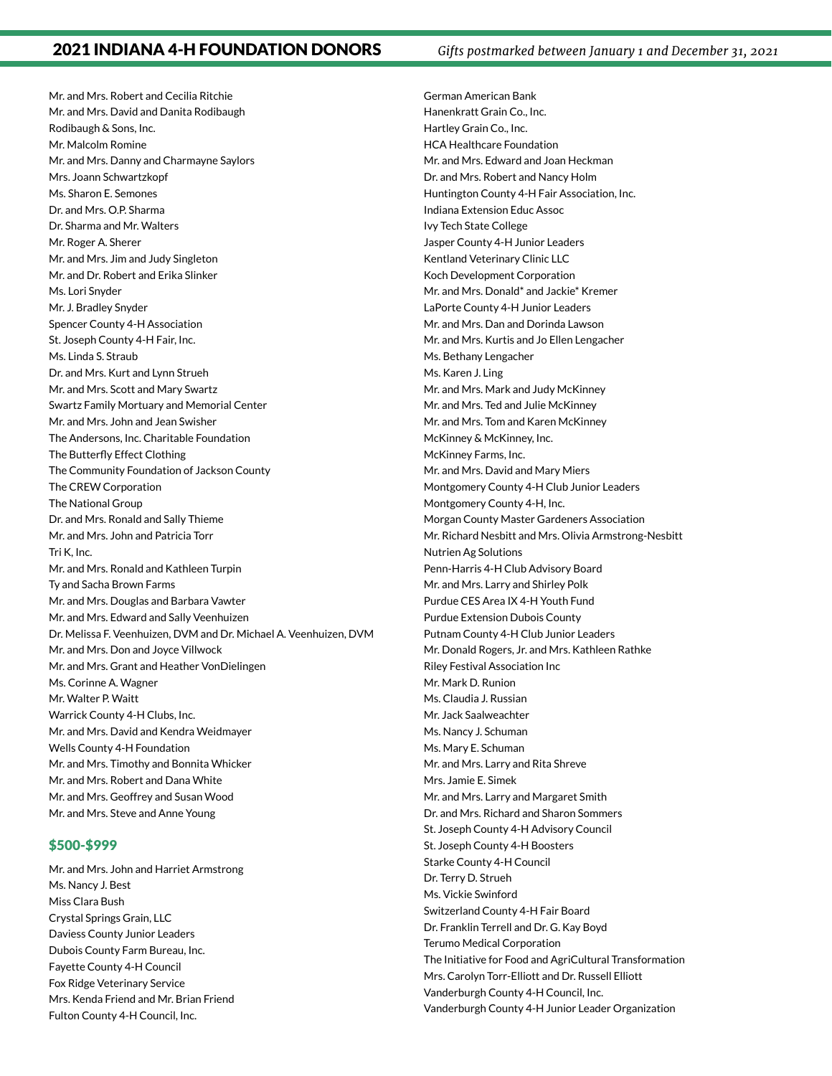Mr. and Mrs. Robert and Cecilia Ritchie Mr. and Mrs. David and Danita Rodibaugh Rodibaugh & Sons, Inc. Mr. Malcolm Romine Mr. and Mrs. Danny and Charmayne Saylors Mrs. Joann Schwartzkopf Ms. Sharon E. Semones Dr. and Mrs. O.P. Sharma Dr. Sharma and Mr. Walters Mr. Roger A. Sherer Mr. and Mrs. Jim and Judy Singleton Mr. and Dr. Robert and Erika Slinker Ms. Lori Snyder Mr. J. Bradley Snyder Spencer County 4-H Association St. Joseph County 4-H Fair, Inc. Ms. Linda S. Straub Dr. and Mrs. Kurt and Lynn Strueh Mr. and Mrs. Scott and Mary Swartz Swartz Family Mortuary and Memorial Center Mr. and Mrs. John and Jean Swisher The Andersons, Inc. Charitable Foundation The Butterfly Effect Clothing The Community Foundation of Jackson County The CREW Corporation The National Group Dr. and Mrs. Ronald and Sally Thieme Mr. and Mrs. John and Patricia Torr Tri K, Inc. Mr. and Mrs. Ronald and Kathleen Turpin Ty and Sacha Brown Farms Mr. and Mrs. Douglas and Barbara Vawter Mr. and Mrs. Edward and Sally Veenhuizen Dr. Melissa F. Veenhuizen, DVM and Dr. Michael A. Veenhuizen, DVM Mr. and Mrs. Don and Joyce Villwock Mr. and Mrs. Grant and Heather VonDielingen Ms. Corinne A. Wagner Mr. Walter P. Waitt Warrick County 4-H Clubs, Inc. Mr. and Mrs. David and Kendra Weidmayer Wells County 4-H Foundation Mr. and Mrs. Timothy and Bonnita Whicker Mr. and Mrs. Robert and Dana White Mr. and Mrs. Geoffrey and Susan Wood Mr. and Mrs. Steve and Anne Young

#### \$500-\$999

Mr. and Mrs. John and Harriet Armstrong Ms. Nancy J. Best Miss Clara Bush Crystal Springs Grain, LLC Daviess County Junior Leaders Dubois County Farm Bureau, Inc. Fayette County 4-H Council Fox Ridge Veterinary Service Mrs. Kenda Friend and Mr. Brian Friend Fulton County 4-H Council, Inc.

German American Bank Hanenkratt Grain Co., Inc. Hartley Grain Co., Inc. HCA Healthcare Foundation Mr. and Mrs. Edward and Joan Heckman Dr. and Mrs. Robert and Nancy Holm Huntington County 4-H Fair Association, Inc. Indiana Extension Educ Assoc Ivy Tech State College Jasper County 4-H Junior Leaders Kentland Veterinary Clinic LLC Koch Development Corporation Mr. and Mrs. Donald\* and Jackie\* Kremer LaPorte County 4-H Junior Leaders Mr. and Mrs. Dan and Dorinda Lawson Mr. and Mrs. Kurtis and Jo Ellen Lengacher Ms. Bethany Lengacher Ms. Karen J. Ling Mr. and Mrs. Mark and Judy McKinney Mr. and Mrs. Ted and Julie McKinney Mr. and Mrs. Tom and Karen McKinney McKinney & McKinney, Inc. McKinney Farms, Inc. Mr. and Mrs. David and Mary Miers Montgomery County 4-H Club Junior Leaders Montgomery County 4-H, Inc. Morgan County Master Gardeners Association Mr. Richard Nesbitt and Mrs. Olivia Armstrong-Nesbitt Nutrien Ag Solutions Penn-Harris 4-H Club Advisory Board Mr. and Mrs. Larry and Shirley Polk Purdue CES Area IX 4-H Youth Fund Purdue Extension Dubois County Putnam County 4-H Club Junior Leaders Mr. Donald Rogers, Jr. and Mrs. Kathleen Rathke Riley Festival Association Inc Mr. Mark D. Runion Ms. Claudia J. Russian Mr. Jack Saalweachter Ms. Nancy J. Schuman Ms. Mary E. Schuman Mr. and Mrs. Larry and Rita Shreve Mrs. Jamie E. Simek Mr. and Mrs. Larry and Margaret Smith Dr. and Mrs. Richard and Sharon Sommers St. Joseph County 4-H Advisory Council St. Joseph County 4-H Boosters Starke County 4-H Council Dr. Terry D. Strueh Ms. Vickie Swinford Switzerland County 4-H Fair Board Dr. Franklin Terrell and Dr. G. Kay Boyd Terumo Medical Corporation The Initiative for Food and AgriCultural Transformation Mrs. Carolyn Torr-Elliott and Dr. Russell Elliott Vanderburgh County 4-H Council, Inc. Vanderburgh County 4-H Junior Leader Organization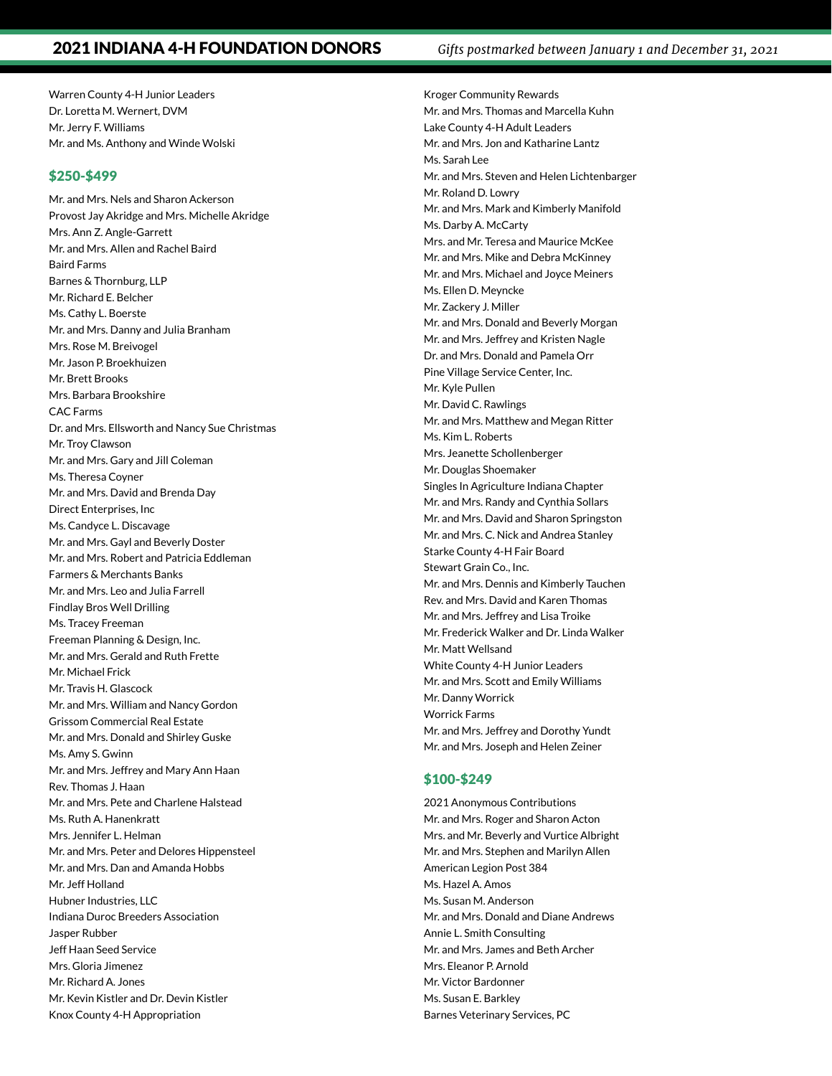Warren County 4-H Junior Leaders Dr. Loretta M. Wernert, DVM Mr. Jerry F. Williams Mr. and Ms. Anthony and Winde Wolski

#### \$250-\$499

Mr. and Mrs. Nels and Sharon Ackerson Provost Jay Akridge and Mrs. Michelle Akridge Mrs. Ann Z. Angle-Garrett Mr. and Mrs. Allen and Rachel Baird Baird Farms Barnes & Thornburg, LLP Mr. Richard E. Belcher Ms. Cathy L. Boerste Mr. and Mrs. Danny and Julia Branham Mrs. Rose M. Breivogel Mr. Jason P. Broekhuizen Mr. Brett Brooks Mrs. Barbara Brookshire CAC Farms Dr. and Mrs. Ellsworth and Nancy Sue Christmas Mr. Troy Clawson Mr. and Mrs. Gary and Jill Coleman Ms. Theresa Coyner Mr. and Mrs. David and Brenda Day Direct Enterprises, Inc Ms. Candyce L. Discavage Mr. and Mrs. Gayl and Beverly Doster Mr. and Mrs. Robert and Patricia Eddleman Farmers & Merchants Banks Mr. and Mrs. Leo and Julia Farrell Findlay Bros Well Drilling Ms. Tracey Freeman Freeman Planning & Design, Inc. Mr. and Mrs. Gerald and Ruth Frette Mr. Michael Frick Mr. Travis H. Glascock Mr. and Mrs. William and Nancy Gordon Grissom Commercial Real Estate Mr. and Mrs. Donald and Shirley Guske Ms. Amy S. Gwinn Mr. and Mrs. Jeffrey and Mary Ann Haan Rev. Thomas J. Haan Mr. and Mrs. Pete and Charlene Halstead Ms. Ruth A. Hanenkratt Mrs. Jennifer L. Helman Mr. and Mrs. Peter and Delores Hippensteel Mr. and Mrs. Dan and Amanda Hobbs Mr. Jeff Holland Hubner Industries, LLC Indiana Duroc Breeders Association Jasper Rubber Jeff Haan Seed Service Mrs. Gloria Jimenez Mr. Richard A. Jones Mr. Kevin Kistler and Dr. Devin Kistler Knox County 4-H Appropriation

Kroger Community Rewards Mr. and Mrs. Thomas and Marcella Kuhn Lake County 4-H Adult Leaders Mr. and Mrs. Jon and Katharine Lantz Ms. Sarah Lee Mr. and Mrs. Steven and Helen Lichtenbarger Mr. Roland D. Lowry Mr. and Mrs. Mark and Kimberly Manifold Ms. Darby A. McCarty Mrs. and Mr. Teresa and Maurice McKee Mr. and Mrs. Mike and Debra McKinney Mr. and Mrs. Michael and Joyce Meiners Ms. Ellen D. Meyncke Mr. Zackery J. Miller Mr. and Mrs. Donald and Beverly Morgan Mr. and Mrs. Jeffrey and Kristen Nagle Dr. and Mrs. Donald and Pamela Orr Pine Village Service Center, Inc. Mr. Kyle Pullen Mr. David C. Rawlings Mr. and Mrs. Matthew and Megan Ritter Ms. Kim L. Roberts Mrs. Jeanette Schollenberger Mr. Douglas Shoemaker Singles In Agriculture Indiana Chapter Mr. and Mrs. Randy and Cynthia Sollars Mr. and Mrs. David and Sharon Springston Mr. and Mrs. C. Nick and Andrea Stanley Starke County 4-H Fair Board Stewart Grain Co., Inc. Mr. and Mrs. Dennis and Kimberly Tauchen Rev. and Mrs. David and Karen Thomas Mr. and Mrs. Jeffrey and Lisa Troike Mr. Frederick Walker and Dr. Linda Walker Mr. Matt Wellsand White County 4-H Junior Leaders Mr. and Mrs. Scott and Emily Williams Mr. Danny Worrick Worrick Farms Mr. and Mrs. Jeffrey and Dorothy Yundt Mr. and Mrs. Joseph and Helen Zeiner

#### \$100-\$249

2021 Anonymous Contributions Mr. and Mrs. Roger and Sharon Acton Mrs. and Mr. Beverly and Vurtice Albright Mr. and Mrs. Stephen and Marilyn Allen American Legion Post 384 Ms. Hazel A. Amos Ms. Susan M. Anderson Mr. and Mrs. Donald and Diane Andrews Annie L. Smith Consulting Mr. and Mrs. James and Beth Archer Mrs. Eleanor P. Arnold Mr. Victor Bardonner Ms. Susan E. Barkley Barnes Veterinary Services, PC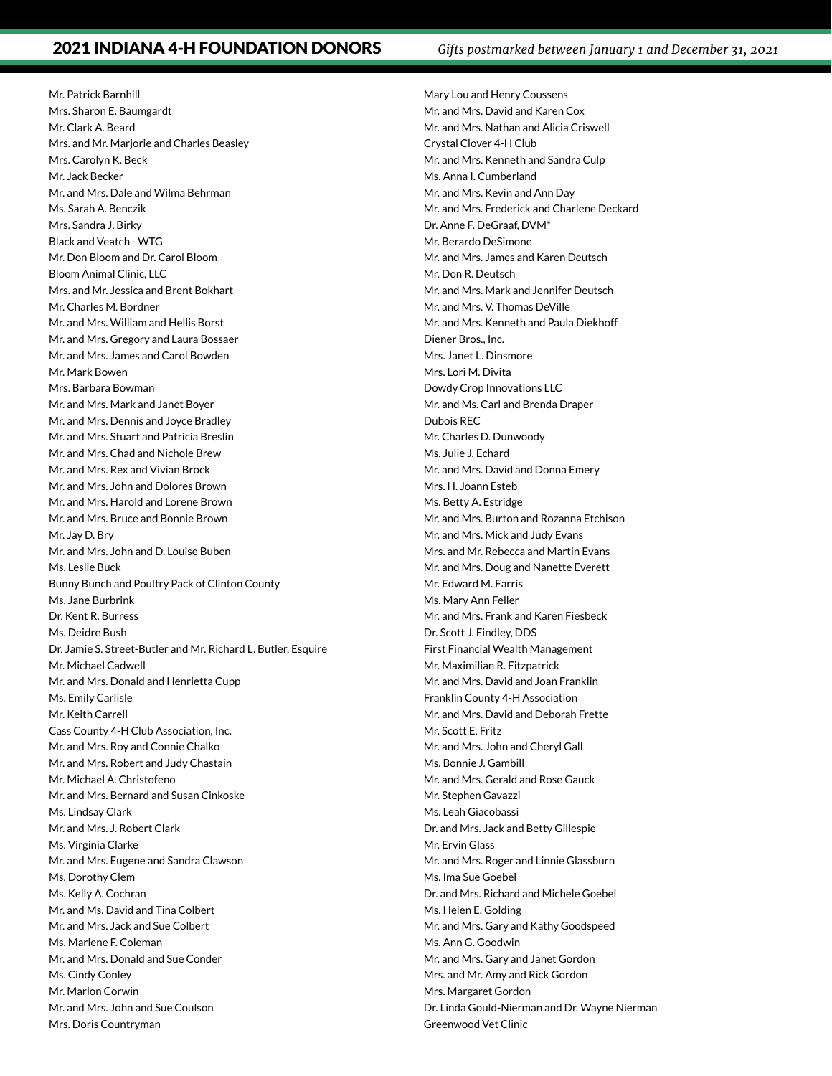Mr. Patrick Barnhill Mrs. Sharon E. Baumgardt Mr. Clark A. Beard Mrs. and Mr. Marjorie and Charles Beasley Mrs. Carolyn K. Beck Mr. Jack Becker Mr. and Mrs. Dale and Wilma Behrman Ms. Sarah A. Benczik Mrs. Sandra J. Birky Black and Veatch - WTG Mr. Don Bloom and Dr. Carol Bloom Bloom Animal Clinic, LLC Mrs. and Mr. Jessica and Brent Bokhart Mr. Charles M. Bordner Mr. and Mrs. William and Hellis Borst Mr. and Mrs. Gregory and Laura Bossaer Mr. and Mrs. James and Carol Bowden Mr. Mark Bowen Mrs. Barbara Bowman Mr. and Mrs. Mark and Janet Boyer Mr. and Mrs. Dennis and Joyce Bradley Mr. and Mrs. Stuart and Patricia Breslin Mr. and Mrs. Chad and Nichole Brew Mr. and Mrs. Rex and Vivian Brock Mr. and Mrs. John and Dolores Brown Mr. and Mrs. Harold and Lorene Brown Mr. and Mrs. Bruce and Bonnie Brown Mr. Jay D. Bry Mr. and Mrs. John and D. Louise Buben Ms. Leslie Buck Bunny Bunch and Poultry Pack of Clinton County Ms. Jane Burbrink Dr. Kent R. Burress Ms. Deidre Bush Dr. Jamie S. Street-Butler and Mr. Richard L. Butler, Esquire Mr. Michael Cadwell Mr. and Mrs. Donald and Henrietta Cupp Ms. Emily Carlisle Mr. Keith Carrell Cass County 4-H Club Association, Inc. Mr. and Mrs. Roy and Connie Chalko Mr. and Mrs. Robert and Judy Chastain Mr. Michael A. Christofeno Mr. and Mrs. Bernard and Susan Cinkoske Ms. Lindsay Clark Mr. and Mrs. J. Robert Clark Ms. Virginia Clarke Mr. and Mrs. Eugene and Sandra Clawson Ms. Dorothy Clem Ms. Kelly A. Cochran Mr. and Ms. David and Tina Colbert Mr. and Mrs. Jack and Sue Colbert Ms. Marlene F. Coleman Mr. and Mrs. Donald and Sue Conder Ms. Cindy Conley Mr. Marlon Corwin Mr. and Mrs. John and Sue Coulson Mrs. Doris Countryman

Mary Lou and Henry Coussens Mr. and Mrs. David and Karen Cox Mr. and Mrs. Nathan and Alicia Criswell Crystal Clover 4-H Club Mr. and Mrs. Kenneth and Sandra Culp Ms. Anna I. Cumberland Mr. and Mrs. Kevin and Ann Day Mr. and Mrs. Frederick and Charlene Deckard Dr. Anne F. DeGraaf, DVM\* Mr. Berardo DeSimone Mr. and Mrs. James and Karen Deutsch Mr. Don R. Deutsch Mr. and Mrs. Mark and Jennifer Deutsch Mr. and Mrs. V. Thomas DeVille Mr. and Mrs. Kenneth and Paula Diekhoff Diener Bros., Inc. Mrs. Janet L. Dinsmore Mrs. Lori M. Divita Dowdy Crop Innovations LLC Mr. and Ms. Carl and Brenda Draper Dubois REC Mr. Charles D. Dunwoody Ms. Julie J. Echard Mr. and Mrs. David and Donna Emery Mrs. H. Joann Esteb Ms. Betty A. Estridge Mr. and Mrs. Burton and Rozanna Etchison Mr. and Mrs. Mick and Judy Evans Mrs. and Mr. Rebecca and Martin Evans Mr. and Mrs. Doug and Nanette Everett Mr. Edward M. Farris Ms. Mary Ann Feller Mr. and Mrs. Frank and Karen Fiesbeck Dr. Scott J. Findley, DDS First Financial Wealth Management Mr. Maximilian R. Fitzpatrick Mr. and Mrs. David and Joan Franklin Franklin County 4-H Association Mr. and Mrs. David and Deborah Frette Mr. Scott E. Fritz Mr. and Mrs. John and Cheryl Gall Ms. Bonnie J. Gambill Mr. and Mrs. Gerald and Rose Gauck Mr. Stephen Gavazzi Ms. Leah Giacobassi Dr. and Mrs. Jack and Betty Gillespie Mr. Ervin Glass Mr. and Mrs. Roger and Linnie Glassburn Ms. Ima Sue Goebel Dr. and Mrs. Richard and Michele Goebel Ms. Helen E. Golding Mr. and Mrs. Gary and Kathy Goodspeed Ms. Ann G. Goodwin Mr. and Mrs. Gary and Janet Gordon Mrs. and Mr. Amy and Rick Gordon Mrs. Margaret Gordon Dr. Linda Gould-Nierman and Dr. Wayne Nierman Greenwood Vet Clinic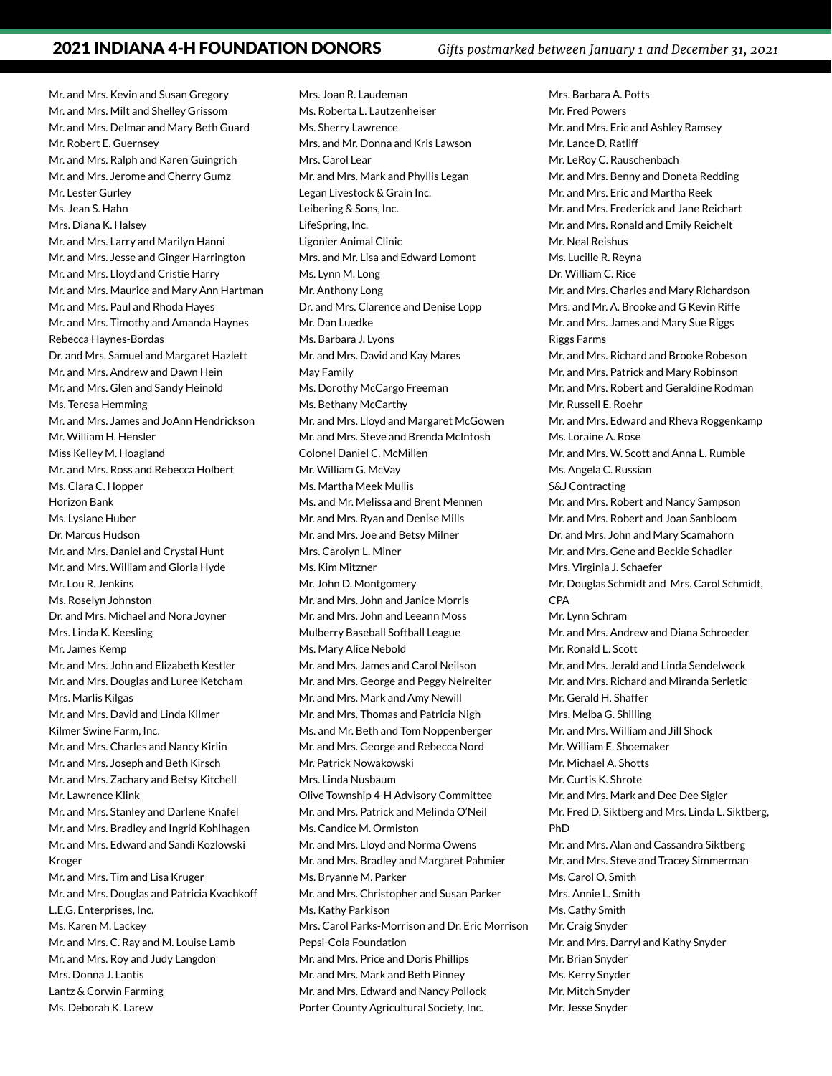Mr. and Mrs. Kevin and Susan Gregory Mr. and Mrs. Milt and Shelley Grissom Mr. and Mrs. Delmar and Mary Beth Guard Mr. Robert E. Guernsey Mr. and Mrs. Ralph and Karen Guingrich Mr. and Mrs. Jerome and Cherry Gumz Mr. Lester Gurley Ms. Jean S. Hahn Mrs. Diana K. Halsey Mr. and Mrs. Larry and Marilyn Hanni Mr. and Mrs. Jesse and Ginger Harrington Mr. and Mrs. Lloyd and Cristie Harry Mr. and Mrs. Maurice and Mary Ann Hartman Mr. and Mrs. Paul and Rhoda Hayes Mr. and Mrs. Timothy and Amanda Haynes Rebecca Haynes-Bordas Dr. and Mrs. Samuel and Margaret Hazlett Mr. and Mrs. Andrew and Dawn Hein Mr. and Mrs. Glen and Sandy Heinold Ms. Teresa Hemming Mr. and Mrs. James and JoAnn Hendrickson Mr. William H. Hensler Miss Kelley M. Hoagland Mr. and Mrs. Ross and Rebecca Holbert Ms. Clara C. Hopper Horizon Bank Ms. Lysiane Huber Dr. Marcus Hudson Mr. and Mrs. Daniel and Crystal Hunt Mr. and Mrs. William and Gloria Hyde Mr. Lou R. Jenkins Ms. Roselyn Johnston Dr. and Mrs. Michael and Nora Joyner Mrs. Linda K. Keesling Mr. James Kemp Mr. and Mrs. John and Elizabeth Kestler Mr. and Mrs. Douglas and Luree Ketcham Mrs. Marlis Kilgas Mr. and Mrs. David and Linda Kilmer Kilmer Swine Farm, Inc. Mr. and Mrs. Charles and Nancy Kirlin Mr. and Mrs. Joseph and Beth Kirsch Mr. and Mrs. Zachary and Betsy Kitchell Mr. Lawrence Klink Mr. and Mrs. Stanley and Darlene Knafel Mr. and Mrs. Bradley and Ingrid Kohlhagen Mr. and Mrs. Edward and Sandi Kozlowski Kroger Mr. and Mrs. Tim and Lisa Kruger Mr. and Mrs. Douglas and Patricia Kvachkoff L.E.G. Enterprises, Inc. Ms. Karen M. Lackey Mr. and Mrs. C. Ray and M. Louise Lamb Mr. and Mrs. Roy and Judy Langdon Mrs. Donna J. Lantis Lantz & Corwin Farming Ms. Deborah K. Larew

Mrs. Joan R. Laudeman Ms. Roberta L. Lautzenheiser Ms. Sherry Lawrence Mrs. and Mr. Donna and Kris Lawson Mrs. Carol Lear Mr. and Mrs. Mark and Phyllis Legan Legan Livestock & Grain Inc. Leibering & Sons, Inc. LifeSpring, Inc. Ligonier Animal Clinic Mrs. and Mr. Lisa and Edward Lomont Ms. Lynn M. Long Mr. Anthony Long Dr. and Mrs. Clarence and Denise Lopp Mr. Dan Luedke Ms. Barbara J. Lyons Mr. and Mrs. David and Kay Mares May Family Ms. Dorothy McCargo Freeman Ms. Bethany McCarthy Mr. and Mrs. Lloyd and Margaret McGowen Mr. and Mrs. Steve and Brenda McIntosh Colonel Daniel C. McMillen Mr. William G. McVay Ms. Martha Meek Mullis Ms. and Mr. Melissa and Brent Mennen Mr. and Mrs. Ryan and Denise Mills Mr. and Mrs. Joe and Betsy Milner Mrs. Carolyn L. Miner Ms. Kim Mitzner Mr. John D. Montgomery Mr. and Mrs. John and Janice Morris Mr. and Mrs. John and Leeann Moss Mulberry Baseball Softball League Ms. Mary Alice Nebold Mr. and Mrs. James and Carol Neilson Mr. and Mrs. George and Peggy Neireiter Mr. and Mrs. Mark and Amy Newill Mr. and Mrs. Thomas and Patricia Nigh Ms. and Mr. Beth and Tom Noppenberger Mr. and Mrs. George and Rebecca Nord Mr. Patrick Nowakowski Mrs. Linda Nusbaum Olive Township 4-H Advisory Committee Mr. and Mrs. Patrick and Melinda O'Neil Ms. Candice M. Ormiston Mr. and Mrs. Lloyd and Norma Owens Mr. and Mrs. Bradley and Margaret Pahmier Ms. Bryanne M. Parker Mr. and Mrs. Christopher and Susan Parker Ms. Kathy Parkison Mrs. Carol Parks-Morrison and Dr. Eric Morrison Pepsi-Cola Foundation Mr. and Mrs. Price and Doris Phillips Mr. and Mrs. Mark and Beth Pinney Mr. and Mrs. Edward and Nancy Pollock Porter County Agricultural Society, Inc.

Mrs. Barbara A. Potts Mr. Fred Powers Mr. and Mrs. Eric and Ashley Ramsey Mr. Lance D. Ratliff Mr. LeRoy C. Rauschenbach Mr. and Mrs. Benny and Doneta Redding Mr. and Mrs. Eric and Martha Reek Mr. and Mrs. Frederick and Jane Reichart Mr. and Mrs. Ronald and Emily Reichelt Mr. Neal Reishus Ms. Lucille R. Reyna Dr. William C. Rice Mr. and Mrs. Charles and Mary Richardson Mrs. and Mr. A. Brooke and G Kevin Riffe Mr. and Mrs. James and Mary Sue Riggs Riggs Farms Mr. and Mrs. Richard and Brooke Robeson Mr. and Mrs. Patrick and Mary Robinson Mr. and Mrs. Robert and Geraldine Rodman Mr. Russell E. Roehr Mr. and Mrs. Edward and Rheva Roggenkamp Ms. Loraine A. Rose Mr. and Mrs. W. Scott and Anna L. Rumble Ms. Angela C. Russian S&J Contracting Mr. and Mrs. Robert and Nancy Sampson Mr. and Mrs. Robert and Joan Sanbloom Dr. and Mrs. John and Mary Scamahorn Mr. and Mrs. Gene and Beckie Schadler Mrs. Virginia J. Schaefer Mr. Douglas Schmidt and Mrs. Carol Schmidt, CPA Mr. Lynn Schram Mr. and Mrs. Andrew and Diana Schroeder Mr. Ronald L. Scott Mr. and Mrs. Jerald and Linda Sendelweck Mr. and Mrs. Richard and Miranda Serletic Mr. Gerald H. Shaffer Mrs. Melba G. Shilling Mr. and Mrs. William and Jill Shock Mr. William E. Shoemaker Mr. Michael A. Shotts Mr. Curtis K. Shrote Mr. and Mrs. Mark and Dee Dee Sigler Mr. Fred D. Siktberg and Mrs. Linda L. Siktberg, PhD Mr. and Mrs. Alan and Cassandra Siktberg Mr. and Mrs. Steve and Tracey Simmerman Ms. Carol O. Smith Mrs. Annie L. Smith Ms. Cathy Smith Mr. Craig Snyder Mr. and Mrs. Darryl and Kathy Snyder Mr. Brian Snyder Ms. Kerry Snyder Mr. Mitch Snyder Mr. Jesse Snyder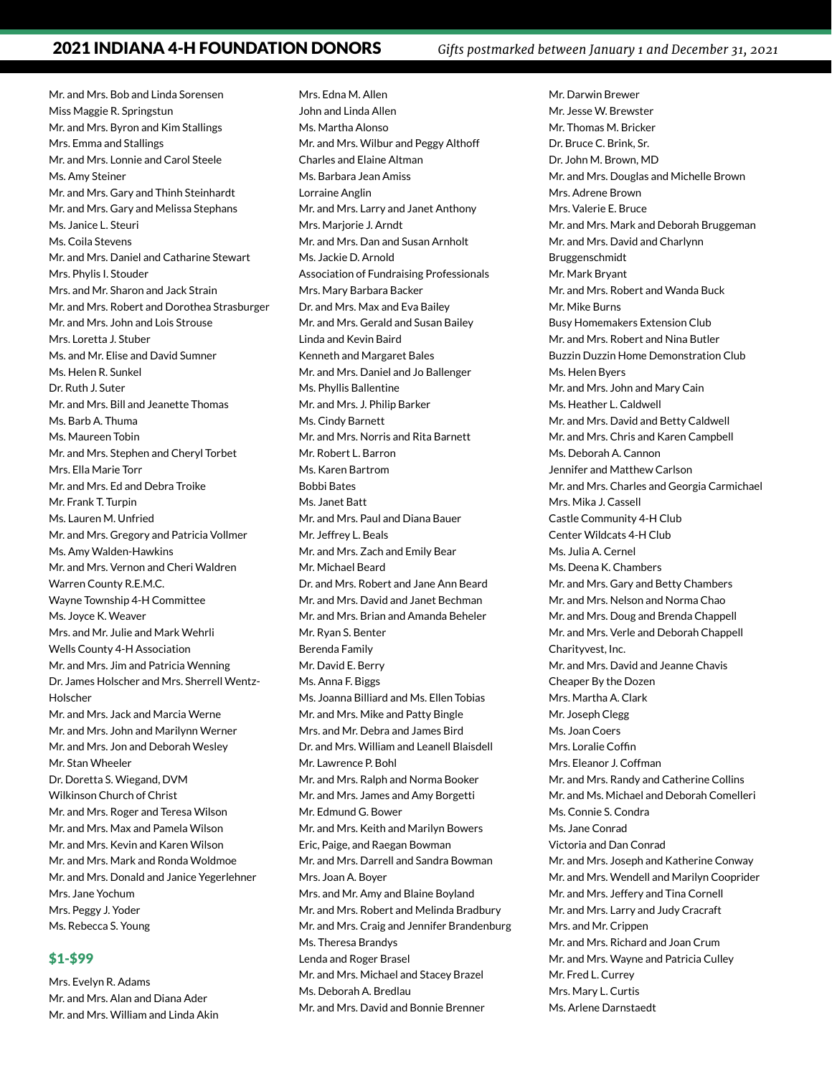Mr. and Mrs. Bob and Linda Sorensen Miss Maggie R. Springstun Mr. and Mrs. Byron and Kim Stallings Mrs. Emma and Stallings Mr. and Mrs. Lonnie and Carol Steele Ms. Amy Steiner Mr. and Mrs. Gary and Thinh Steinhardt Mr. and Mrs. Gary and Melissa Stephans Ms. Janice L. Steuri Ms. Coila Stevens Mr. and Mrs. Daniel and Catharine Stewart Mrs. Phylis I. Stouder Mrs. and Mr. Sharon and Jack Strain Mr. and Mrs. Robert and Dorothea Strasburger Mr. and Mrs. John and Lois Strouse Mrs. Loretta J. Stuber Ms. and Mr. Elise and David Sumner Ms. Helen R. Sunkel Dr. Ruth J. Suter Mr. and Mrs. Bill and Jeanette Thomas Ms. Barb A. Thuma Ms. Maureen Tobin Mr. and Mrs. Stephen and Cheryl Torbet Mrs. Ella Marie Torr Mr. and Mrs. Ed and Debra Troike Mr. Frank T. Turpin Ms. Lauren M. Unfried Mr. and Mrs. Gregory and Patricia Vollmer Ms. Amy Walden-Hawkins Mr. and Mrs. Vernon and Cheri Waldren Warren County R.E.M.C. Wayne Township 4-H Committee Ms. Joyce K. Weaver Mrs. and Mr. Julie and Mark Wehrli Wells County 4-H Association Mr. and Mrs. Jim and Patricia Wenning Dr. James Holscher and Mrs. Sherrell Wentz-Holscher Mr. and Mrs. Jack and Marcia Werne Mr. and Mrs. John and Marilynn Werner Mr. and Mrs. Jon and Deborah Wesley Mr. Stan Wheeler Dr. Doretta S. Wiegand, DVM Wilkinson Church of Christ Mr. and Mrs. Roger and Teresa Wilson Mr. and Mrs. Max and Pamela Wilson Mr. and Mrs. Kevin and Karen Wilson Mr. and Mrs. Mark and Ronda Woldmoe Mr. and Mrs. Donald and Janice Yegerlehner Mrs. Jane Yochum Mrs. Peggy J. Yoder Ms. Rebecca S. Young

#### \$1-\$99

Mrs. Evelyn R. Adams Mr. and Mrs. Alan and Diana Ader Mr. and Mrs. William and Linda Akin

Mrs. Edna M. Allen John and Linda Allen Ms. Martha Alonso Mr. and Mrs. Wilbur and Peggy Althoff Charles and Elaine Altman Ms. Barbara Jean Amiss Lorraine Anglin Mr. and Mrs. Larry and Janet Anthony Mrs. Marjorie J. Arndt Mr. and Mrs. Dan and Susan Arnholt Ms. Jackie D. Arnold Association of Fundraising Professionals Mrs. Mary Barbara Backer Dr. and Mrs. Max and Eva Bailey Mr. and Mrs. Gerald and Susan Bailey Linda and Kevin Baird Kenneth and Margaret Bales Mr. and Mrs. Daniel and Jo Ballenger Ms. Phyllis Ballentine Mr. and Mrs. J. Philip Barker Ms. Cindy Barnett Mr. and Mrs. Norris and Rita Barnett Mr. Robert L. Barron Ms. Karen Bartrom Bobbi Bates Ms. Janet Batt Mr. and Mrs. Paul and Diana Bauer Mr. Jeffrey L. Beals Mr. and Mrs. Zach and Emily Bear Mr. Michael Beard Dr. and Mrs. Robert and Jane Ann Beard Mr. and Mrs. David and Janet Bechman Mr. and Mrs. Brian and Amanda Beheler Mr. Ryan S. Benter Berenda Family Mr. David E. Berry Ms. Anna F. Biggs Ms. Joanna Billiard and Ms. Ellen Tobias Mr. and Mrs. Mike and Patty Bingle Mrs. and Mr. Debra and James Bird Dr. and Mrs. William and Leanell Blaisdell Mr. Lawrence P. Bohl Mr. and Mrs. Ralph and Norma Booker Mr. and Mrs. James and Amy Borgetti Mr. Edmund G. Bower Mr. and Mrs. Keith and Marilyn Bowers Eric, Paige, and Raegan Bowman Mr. and Mrs. Darrell and Sandra Bowman Mrs. Joan A. Boyer Mrs. and Mr. Amy and Blaine Boyland Mr. and Mrs. Robert and Melinda Bradbury Mr. and Mrs. Craig and Jennifer Brandenburg Ms. Theresa Brandys Lenda and Roger Brasel Mr. and Mrs. Michael and Stacey Brazel Ms. Deborah A. Bredlau Mr. and Mrs. David and Bonnie Brenner

Mr. Darwin Brewer Mr. Jesse W. Brewster Mr. Thomas M. Bricker Dr. Bruce C. Brink, Sr. Dr. John M. Brown, MD Mr. and Mrs. Douglas and Michelle Brown Mrs. Adrene Brown Mrs. Valerie E. Bruce Mr. and Mrs. Mark and Deborah Bruggeman Mr. and Mrs. David and Charlynn Bruggenschmidt Mr. Mark Bryant Mr. and Mrs. Robert and Wanda Buck Mr. Mike Burns Busy Homemakers Extension Club Mr. and Mrs. Robert and Nina Butler Buzzin Duzzin Home Demonstration Club Ms. Helen Byers Mr. and Mrs. John and Mary Cain Ms. Heather L. Caldwell Mr. and Mrs. David and Betty Caldwell Mr. and Mrs. Chris and Karen Campbell Ms. Deborah A. Cannon Jennifer and Matthew Carlson Mr. and Mrs. Charles and Georgia Carmichael Mrs. Mika J. Cassell Castle Community 4-H Club Center Wildcats 4-H Club Ms. Julia A. Cernel Ms. Deena K. Chambers Mr. and Mrs. Gary and Betty Chambers Mr. and Mrs. Nelson and Norma Chao Mr. and Mrs. Doug and Brenda Chappell Mr. and Mrs. Verle and Deborah Chappell Charityvest, Inc. Mr. and Mrs. David and Jeanne Chavis Cheaper By the Dozen Mrs. Martha A. Clark Mr. Joseph Clegg Ms. Joan Coers Mrs. Loralie Coffin Mrs. Eleanor J. Coffman Mr. and Mrs. Randy and Catherine Collins Mr. and Ms. Michael and Deborah Comelleri Ms. Connie S. Condra Ms. Jane Conrad Victoria and Dan Conrad Mr. and Mrs. Joseph and Katherine Conway Mr. and Mrs. Wendell and Marilyn Cooprider Mr. and Mrs. Jeffery and Tina Cornell Mr. and Mrs. Larry and Judy Cracraft Mrs. and Mr. Crippen Mr. and Mrs. Richard and Joan Crum Mr. and Mrs. Wayne and Patricia Culley Mr. Fred L. Currey Mrs. Mary L. Curtis Ms. Arlene Darnstaedt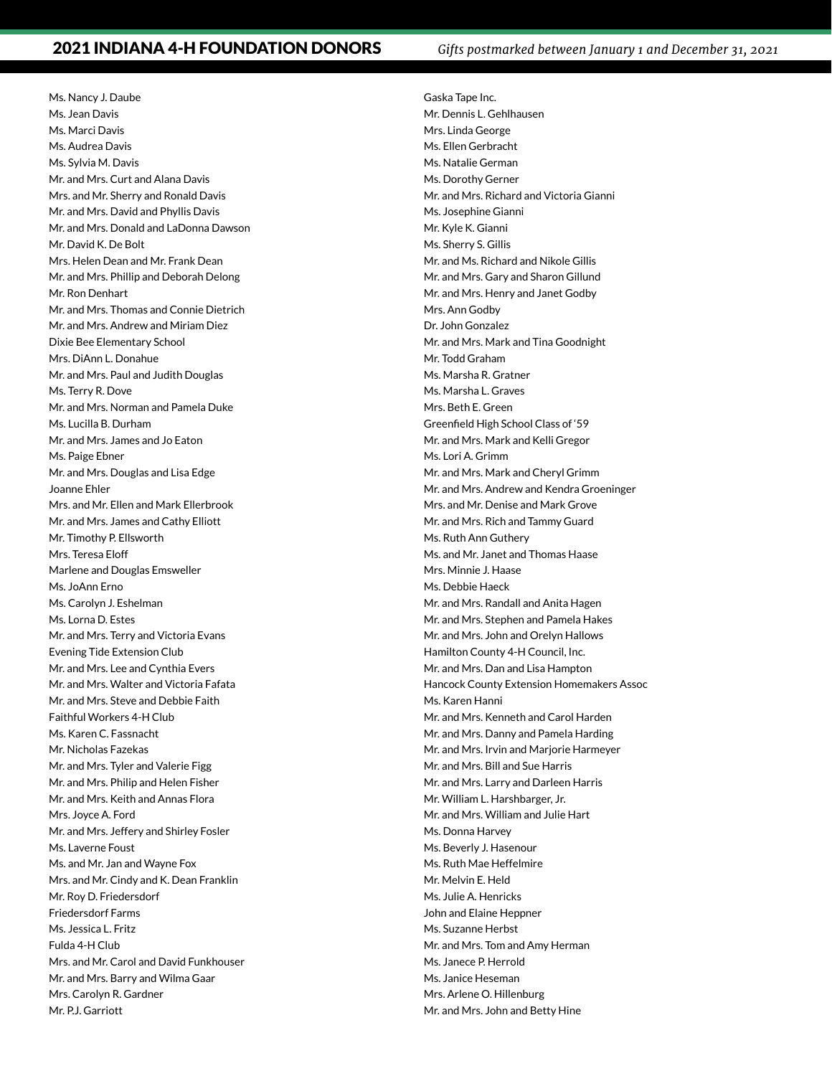Ms. Nancy J. Daube Ms. Jean Davis Ms. Marci Davis Ms. Audrea Davis Ms. Sylvia M. Davis Mr. and Mrs. Curt and Alana Davis Mrs. and Mr. Sherry and Ronald Davis Mr. and Mrs. David and Phyllis Davis Mr. and Mrs. Donald and LaDonna Dawson Mr. David K. De Bolt Mrs. Helen Dean and Mr. Frank Dean Mr. and Mrs. Phillip and Deborah Delong Mr. Ron Denhart Mr. and Mrs. Thomas and Connie Dietrich Mr. and Mrs. Andrew and Miriam Diez Dixie Bee Elementary School Mrs. DiAnn L. Donahue Mr. and Mrs. Paul and Judith Douglas Ms. Terry R. Dove Mr. and Mrs. Norman and Pamela Duke Ms. Lucilla B. Durham Mr. and Mrs. James and Jo Eaton Ms. Paige Ebner Mr. and Mrs. Douglas and Lisa Edge Joanne Ehler Mrs. and Mr. Ellen and Mark Ellerbrook Mr. and Mrs. James and Cathy Elliott Mr. Timothy P. Ellsworth Mrs. Teresa Eloff Marlene and Douglas Emsweller Ms. JoAnn Erno Ms. Carolyn J. Eshelman Ms. Lorna D. Estes Mr. and Mrs. Terry and Victoria Evans Evening Tide Extension Club Mr. and Mrs. Lee and Cynthia Evers Mr. and Mrs. Walter and Victoria Fafata Mr. and Mrs. Steve and Debbie Faith Faithful Workers 4-H Club Ms. Karen C. Fassnacht Mr. Nicholas Fazekas Mr. and Mrs. Tyler and Valerie Figg Mr. and Mrs. Philip and Helen Fisher Mr. and Mrs. Keith and Annas Flora Mrs. Joyce A. Ford Mr. and Mrs. Jeffery and Shirley Fosler Ms. Laverne Foust Ms. and Mr. Jan and Wayne Fox Mrs. and Mr. Cindy and K. Dean Franklin Mr. Roy D. Friedersdorf Friedersdorf Farms Ms. Jessica L. Fritz Fulda 4-H Club Mrs. and Mr. Carol and David Funkhouser Mr. and Mrs. Barry and Wilma Gaar Mrs. Carolyn R. Gardner Mr. P.J. Garriott

Gaska Tape Inc. Mr. Dennis L. Gehlhausen Mrs. Linda George Ms. Ellen Gerbracht Ms. Natalie German Ms. Dorothy Gerner Mr. and Mrs. Richard and Victoria Gianni Ms. Josephine Gianni Mr. Kyle K. Gianni Ms. Sherry S. Gillis Mr. and Ms. Richard and Nikole Gillis Mr. and Mrs. Gary and Sharon Gillund Mr. and Mrs. Henry and Janet Godby Mrs. Ann Godby Dr. John Gonzalez Mr. and Mrs. Mark and Tina Goodnight Mr. Todd Graham Ms. Marsha R. Gratner Ms. Marsha L. Graves Mrs. Beth E. Green Greenfield High School Class of '59 Mr. and Mrs. Mark and Kelli Gregor Ms. Lori A. Grimm Mr. and Mrs. Mark and Cheryl Grimm Mr. and Mrs. Andrew and Kendra Groeninger Mrs. and Mr. Denise and Mark Grove Mr. and Mrs. Rich and Tammy Guard Ms. Ruth Ann Guthery Ms. and Mr. Janet and Thomas Haase Mrs. Minnie J. Haase Ms. Debbie Haeck Mr. and Mrs. Randall and Anita Hagen Mr. and Mrs. Stephen and Pamela Hakes Mr. and Mrs. John and Orelyn Hallows Hamilton County 4-H Council, Inc. Mr. and Mrs. Dan and Lisa Hampton Hancock County Extension Homemakers Assoc Ms. Karen Hanni Mr. and Mrs. Kenneth and Carol Harden Mr. and Mrs. Danny and Pamela Harding Mr. and Mrs. Irvin and Marjorie Harmeyer Mr. and Mrs. Bill and Sue Harris Mr. and Mrs. Larry and Darleen Harris Mr. William L. Harshbarger, Jr. Mr. and Mrs. William and Julie Hart Ms. Donna Harvey Ms. Beverly J. Hasenour Ms. Ruth Mae Heffelmire Mr. Melvin E. Held Ms. Julie A. Henricks John and Elaine Heppner Ms. Suzanne Herbst Mr. and Mrs. Tom and Amy Herman Ms. Janece P. Herrold Ms. Janice Heseman Mrs. Arlene O. Hillenburg Mr. and Mrs. John and Betty Hine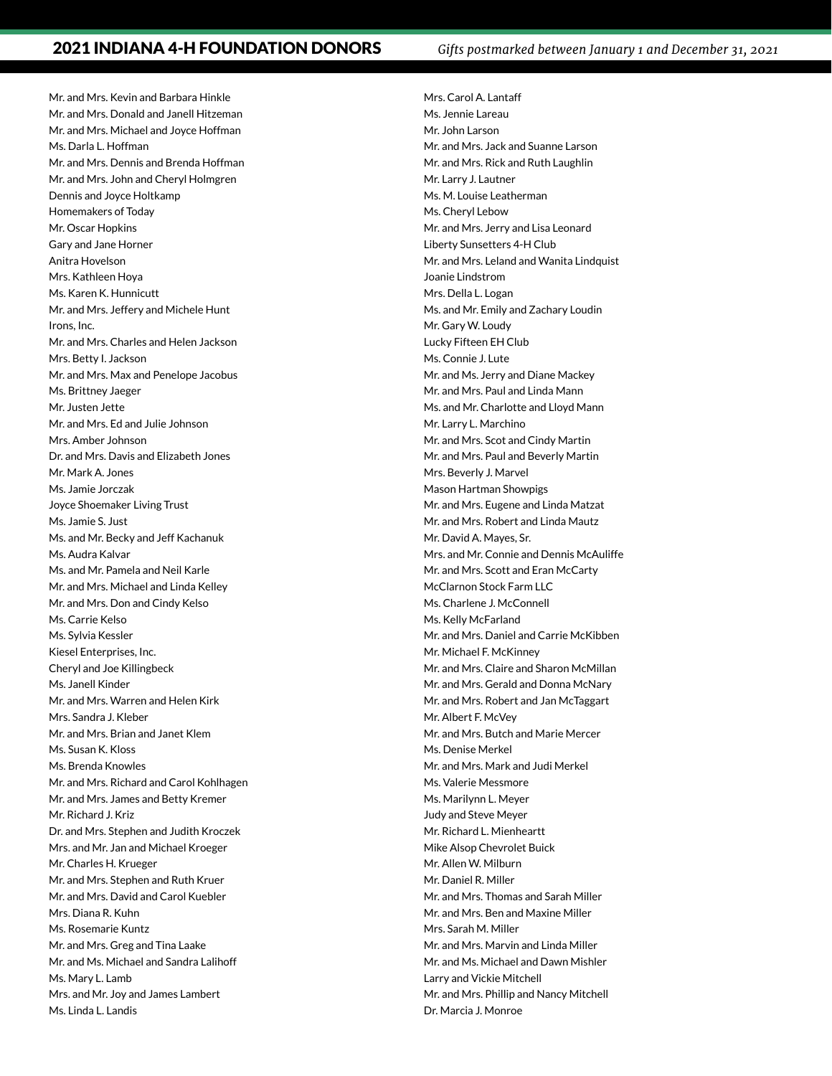Mr. and Mrs. Kevin and Barbara Hinkle Mr. and Mrs. Donald and Janell Hitzeman Mr. and Mrs. Michael and Joyce Hoffman Ms. Darla L. Hoffman Mr. and Mrs. Dennis and Brenda Hoffman Mr. and Mrs. John and Cheryl Holmgren Dennis and Joyce Holtkamp Homemakers of Today Mr. Oscar Hopkins Gary and Jane Horner Anitra Hovelson Mrs. Kathleen Hoya Ms. Karen K. Hunnicutt Mr. and Mrs. Jeffery and Michele Hunt Irons, Inc. Mr. and Mrs. Charles and Helen Jackson Mrs. Betty I. Jackson Mr. and Mrs. Max and Penelope Jacobus Ms. Brittney Jaeger Mr. Justen Jette Mr. and Mrs. Ed and Julie Johnson Mrs. Amber Johnson Dr. and Mrs. Davis and Elizabeth Jones Mr. Mark A. Jones Ms. Jamie Jorczak Joyce Shoemaker Living Trust Ms. Jamie S. Just Ms. and Mr. Becky and Jeff Kachanuk Ms. Audra Kalvar Ms. and Mr. Pamela and Neil Karle Mr. and Mrs. Michael and Linda Kelley Mr. and Mrs. Don and Cindy Kelso Ms. Carrie Kelso Ms. Sylvia Kessler Kiesel Enterprises, Inc. Cheryl and Joe Killingbeck Ms. Janell Kinder Mr. and Mrs. Warren and Helen Kirk Mrs. Sandra J. Kleber Mr. and Mrs. Brian and Janet Klem Ms. Susan K. Kloss Ms. Brenda Knowles Mr. and Mrs. Richard and Carol Kohlhagen Mr. and Mrs. James and Betty Kremer Mr. Richard J. Kriz Dr. and Mrs. Stephen and Judith Kroczek Mrs. and Mr. Jan and Michael Kroeger Mr. Charles H. Krueger Mr. and Mrs. Stephen and Ruth Kruer Mr. and Mrs. David and Carol Kuebler Mrs. Diana R. Kuhn Ms. Rosemarie Kuntz Mr. and Mrs. Greg and Tina Laake Mr. and Ms. Michael and Sandra Lalihoff Ms. Mary L. Lamb Mrs. and Mr. Joy and James Lambert Ms. Linda L. Landis

Mrs. Carol A. Lantaff Ms. Jennie Lareau Mr. John Larson Mr. and Mrs. Jack and Suanne Larson Mr. and Mrs. Rick and Ruth Laughlin Mr. Larry J. Lautner Ms. M. Louise Leatherman Ms. Cheryl Lebow Mr. and Mrs. Jerry and Lisa Leonard Liberty Sunsetters 4-H Club Mr. and Mrs. Leland and Wanita Lindquist Joanie Lindstrom Mrs. Della L. Logan Ms. and Mr. Emily and Zachary Loudin Mr. Gary W. Loudy Lucky Fifteen EH Club Ms. Connie J. Lute Mr. and Ms. Jerry and Diane Mackey Mr. and Mrs. Paul and Linda Mann Ms. and Mr. Charlotte and Lloyd Mann Mr. Larry L. Marchino Mr. and Mrs. Scot and Cindy Martin Mr. and Mrs. Paul and Beverly Martin Mrs. Beverly J. Marvel Mason Hartman Showpigs Mr. and Mrs. Eugene and Linda Matzat Mr. and Mrs. Robert and Linda Mautz Mr. David A. Mayes, Sr. Mrs. and Mr. Connie and Dennis McAuliffe Mr. and Mrs. Scott and Eran McCarty McClarnon Stock Farm LLC Ms. Charlene J. McConnell Ms. Kelly McFarland Mr. and Mrs. Daniel and Carrie McKibben Mr. Michael F. McKinney Mr. and Mrs. Claire and Sharon McMillan Mr. and Mrs. Gerald and Donna McNary Mr. and Mrs. Robert and Jan McTaggart Mr. Albert F. McVey Mr. and Mrs. Butch and Marie Mercer Ms. Denise Merkel Mr. and Mrs. Mark and Judi Merkel Ms. Valerie Messmore Ms. Marilynn L. Meyer Judy and Steve Meyer Mr. Richard L. Mienheartt Mike Alsop Chevrolet Buick Mr. Allen W. Milburn Mr. Daniel R. Miller Mr. and Mrs. Thomas and Sarah Miller Mr. and Mrs. Ben and Maxine Miller Mrs. Sarah M. Miller Mr. and Mrs. Marvin and Linda Miller Mr. and Ms. Michael and Dawn Mishler Larry and Vickie Mitchell Mr. and Mrs. Phillip and Nancy Mitchell Dr. Marcia J. Monroe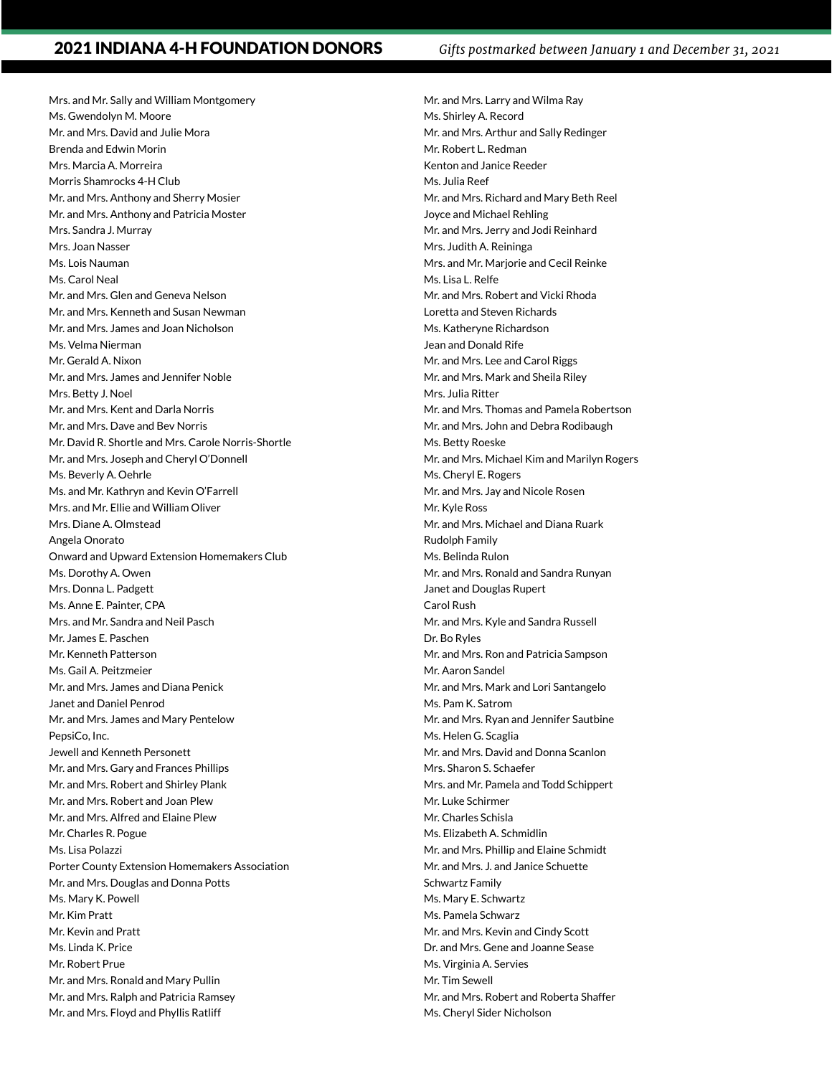Mrs. and Mr. Sally and William Montgomery Ms. Gwendolyn M. Moore Mr. and Mrs. David and Julie Mora Brenda and Edwin Morin Mrs. Marcia A. Morreira Morris Shamrocks 4-H Club Mr. and Mrs. Anthony and Sherry Mosier Mr. and Mrs. Anthony and Patricia Moster Mrs. Sandra J. Murray Mrs. Joan Nasser Ms. Lois Nauman Ms. Carol Neal Mr. and Mrs. Glen and Geneva Nelson Mr. and Mrs. Kenneth and Susan Newman Mr. and Mrs. James and Joan Nicholson Ms. Velma Nierman Mr. Gerald A. Nixon Mr. and Mrs. James and Jennifer Noble Mrs. Betty J. Noel Mr. and Mrs. Kent and Darla Norris Mr. and Mrs. Dave and Bev Norris Mr. David R. Shortle and Mrs. Carole Norris-Shortle Mr. and Mrs. Joseph and Cheryl O'Donnell Ms. Beverly A. Oehrle Ms. and Mr. Kathryn and Kevin O'Farrell Mrs. and Mr. Ellie and William Oliver Mrs. Diane A. Olmstead Angela Onorato Onward and Upward Extension Homemakers Club Ms. Dorothy A. Owen Mrs. Donna L. Padgett Ms. Anne E. Painter, CPA Mrs. and Mr. Sandra and Neil Pasch Mr. James E. Paschen Mr. Kenneth Patterson Ms. Gail A. Peitzmeier Mr. and Mrs. James and Diana Penick Janet and Daniel Penrod Mr. and Mrs. James and Mary Pentelow PepsiCo, Inc. Jewell and Kenneth Personett Mr. and Mrs. Gary and Frances Phillips Mr. and Mrs. Robert and Shirley Plank Mr. and Mrs. Robert and Joan Plew Mr. and Mrs. Alfred and Elaine Plew Mr. Charles R. Pogue Ms. Lisa Polazzi Porter County Extension Homemakers Association Mr. and Mrs. Douglas and Donna Potts Ms. Mary K. Powell Mr. Kim Pratt Mr. Kevin and Pratt Ms. Linda K. Price Mr. Robert Prue Mr. and Mrs. Ronald and Mary Pullin Mr. and Mrs. Ralph and Patricia Ramsey Mr. and Mrs. Floyd and Phyllis Ratliff

Mr. and Mrs. Larry and Wilma Ray Ms. Shirley A. Record Mr. and Mrs. Arthur and Sally Redinger Mr. Robert L. Redman Kenton and Janice Reeder Ms. Julia Reef Mr. and Mrs. Richard and Mary Beth Reel Joyce and Michael Rehling Mr. and Mrs. Jerry and Jodi Reinhard Mrs. Judith A. Reininga Mrs. and Mr. Marjorie and Cecil Reinke Ms. Lisa L. Relfe Mr. and Mrs. Robert and Vicki Rhoda Loretta and Steven Richards Ms. Katheryne Richardson Jean and Donald Rife Mr. and Mrs. Lee and Carol Riggs Mr. and Mrs. Mark and Sheila Riley Mrs. Julia Ritter Mr. and Mrs. Thomas and Pamela Robertson Mr. and Mrs. John and Debra Rodibaugh Ms. Betty Roeske Mr. and Mrs. Michael Kim and Marilyn Rogers Ms. Cheryl E. Rogers Mr. and Mrs. Jay and Nicole Rosen Mr. Kyle Ross Mr. and Mrs. Michael and Diana Ruark Rudolph Family Ms. Belinda Rulon Mr. and Mrs. Ronald and Sandra Runyan Janet and Douglas Rupert Carol Rush Mr. and Mrs. Kyle and Sandra Russell Dr. Bo Ryles Mr. and Mrs. Ron and Patricia Sampson Mr. Aaron Sandel Mr. and Mrs. Mark and Lori Santangelo Ms. Pam K. Satrom Mr. and Mrs. Ryan and Jennifer Sautbine Ms. Helen G. Scaglia Mr. and Mrs. David and Donna Scanlon Mrs. Sharon S. Schaefer Mrs. and Mr. Pamela and Todd Schippert Mr. Luke Schirmer Mr. Charles Schisla Ms. Elizabeth A. Schmidlin Mr. and Mrs. Phillip and Elaine Schmidt Mr. and Mrs. J. and Janice Schuette Schwartz Family Ms. Mary E. Schwartz Ms. Pamela Schwarz Mr. and Mrs. Kevin and Cindy Scott Dr. and Mrs. Gene and Joanne Sease Ms. Virginia A. Servies Mr. Tim Sewell Mr. and Mrs. Robert and Roberta Shaffer Ms. Cheryl Sider Nicholson